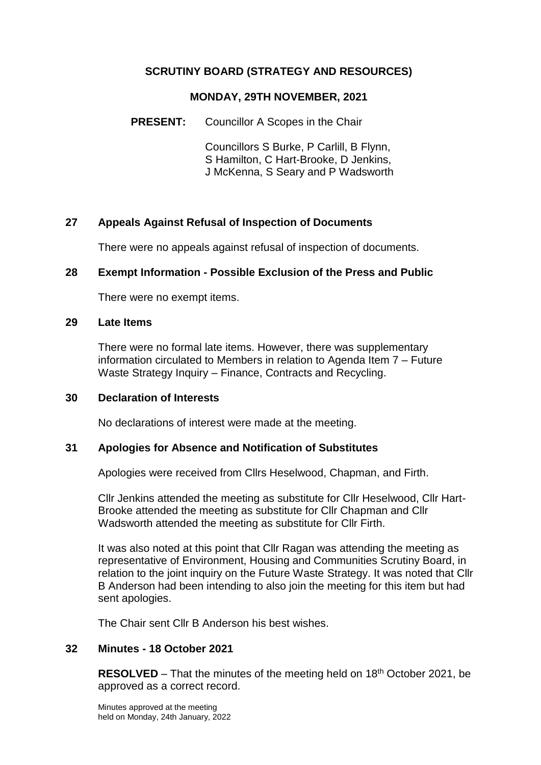### **SCRUTINY BOARD (STRATEGY AND RESOURCES)**

#### **MONDAY, 29TH NOVEMBER, 2021**

**PRESENT:** Councillor A Scopes in the Chair

Councillors S Burke, P Carlill, B Flynn, S Hamilton, C Hart-Brooke, D Jenkins, J McKenna, S Seary and P Wadsworth

### **27 Appeals Against Refusal of Inspection of Documents**

There were no appeals against refusal of inspection of documents.

### **28 Exempt Information - Possible Exclusion of the Press and Public**

There were no exempt items.

#### **29 Late Items**

There were no formal late items. However, there was supplementary information circulated to Members in relation to Agenda Item 7 – Future Waste Strategy Inquiry – Finance, Contracts and Recycling.

### **30 Declaration of Interests**

No declarations of interest were made at the meeting.

### **31 Apologies for Absence and Notification of Substitutes**

Apologies were received from Cllrs Heselwood, Chapman, and Firth.

Cllr Jenkins attended the meeting as substitute for Cllr Heselwood, Cllr Hart-Brooke attended the meeting as substitute for Cllr Chapman and Cllr Wadsworth attended the meeting as substitute for Cllr Firth.

It was also noted at this point that Cllr Ragan was attending the meeting as representative of Environment, Housing and Communities Scrutiny Board, in relation to the joint inquiry on the Future Waste Strategy. It was noted that Cllr B Anderson had been intending to also join the meeting for this item but had sent apologies.

The Chair sent Cllr B Anderson his best wishes.

# **32 Minutes - 18 October 2021**

**RESOLVED** – That the minutes of the meeting held on 18<sup>th</sup> October 2021, be approved as a correct record.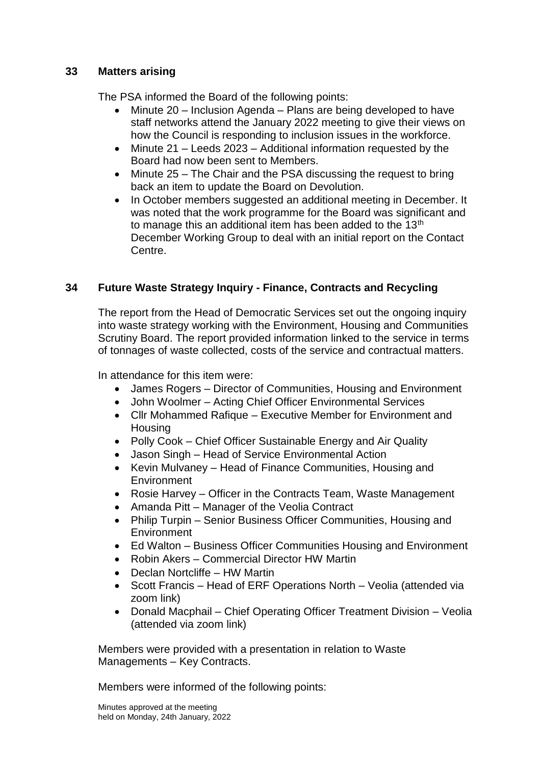### **33 Matters arising**

The PSA informed the Board of the following points:

- Minute 20 Inclusion Agenda Plans are being developed to have staff networks attend the January 2022 meeting to give their views on how the Council is responding to inclusion issues in the workforce.
- Minute 21 Leeds 2023 Additional information requested by the Board had now been sent to Members.
- Minute 25 The Chair and the PSA discussing the request to bring back an item to update the Board on Devolution.
- In October members suggested an additional meeting in December. It was noted that the work programme for the Board was significant and to manage this an additional item has been added to the 13<sup>th</sup> December Working Group to deal with an initial report on the Contact Centre.

# **34 Future Waste Strategy Inquiry - Finance, Contracts and Recycling**

The report from the Head of Democratic Services set out the ongoing inquiry into waste strategy working with the Environment, Housing and Communities Scrutiny Board. The report provided information linked to the service in terms of tonnages of waste collected, costs of the service and contractual matters.

In attendance for this item were:

- James Rogers Director of Communities, Housing and Environment
- John Woolmer Acting Chief Officer Environmental Services
- Cllr Mohammed Rafique Executive Member for Environment and **Housing**
- Polly Cook Chief Officer Sustainable Energy and Air Quality
- Jason Singh Head of Service Environmental Action
- Kevin Mulvaney Head of Finance Communities, Housing and **Environment**
- Rosie Harvey Officer in the Contracts Team, Waste Management
- Amanda Pitt Manager of the Veolia Contract
- Philip Turpin Senior Business Officer Communities, Housing and **Environment**
- Ed Walton Business Officer Communities Housing and Environment
- Robin Akers Commercial Director HW Martin
- Declan Nortcliffe HW Martin
- Scott Francis Head of ERF Operations North Veolia (attended via zoom link)
- Donald Macphail Chief Operating Officer Treatment Division Veolia (attended via zoom link)

Members were provided with a presentation in relation to Waste Managements – Key Contracts.

Members were informed of the following points: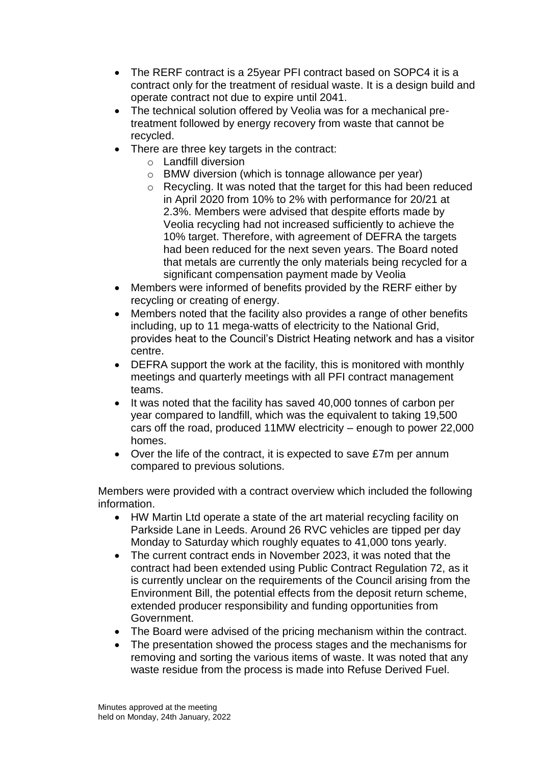- The RERF contract is a 25year PFI contract based on SOPC4 it is a contract only for the treatment of residual waste. It is a design build and operate contract not due to expire until 2041.
- The technical solution offered by Veolia was for a mechanical pretreatment followed by energy recovery from waste that cannot be recycled.
- There are three key targets in the contract:
	- o Landfill diversion
	- o BMW diversion (which is tonnage allowance per year)
	- o Recycling. It was noted that the target for this had been reduced in April 2020 from 10% to 2% with performance for 20/21 at 2.3%. Members were advised that despite efforts made by Veolia recycling had not increased sufficiently to achieve the 10% target. Therefore, with agreement of DEFRA the targets had been reduced for the next seven years. The Board noted that metals are currently the only materials being recycled for a significant compensation payment made by Veolia
- Members were informed of benefits provided by the RERF either by recycling or creating of energy.
- Members noted that the facility also provides a range of other benefits including, up to 11 mega-watts of electricity to the National Grid, provides heat to the Council's District Heating network and has a visitor centre.
- DEFRA support the work at the facility, this is monitored with monthly meetings and quarterly meetings with all PFI contract management teams.
- It was noted that the facility has saved 40,000 tonnes of carbon per year compared to landfill, which was the equivalent to taking 19,500 cars off the road, produced 11MW electricity – enough to power 22,000 homes.
- Over the life of the contract, it is expected to save £7m per annum compared to previous solutions.

Members were provided with a contract overview which included the following information.

- HW Martin Ltd operate a state of the art material recycling facility on Parkside Lane in Leeds. Around 26 RVC vehicles are tipped per day Monday to Saturday which roughly equates to 41,000 tons yearly.
- The current contract ends in November 2023, it was noted that the contract had been extended using Public Contract Regulation 72, as it is currently unclear on the requirements of the Council arising from the Environment Bill, the potential effects from the deposit return scheme, extended producer responsibility and funding opportunities from Government.
- The Board were advised of the pricing mechanism within the contract.
- The presentation showed the process stages and the mechanisms for removing and sorting the various items of waste. It was noted that any waste residue from the process is made into Refuse Derived Fuel.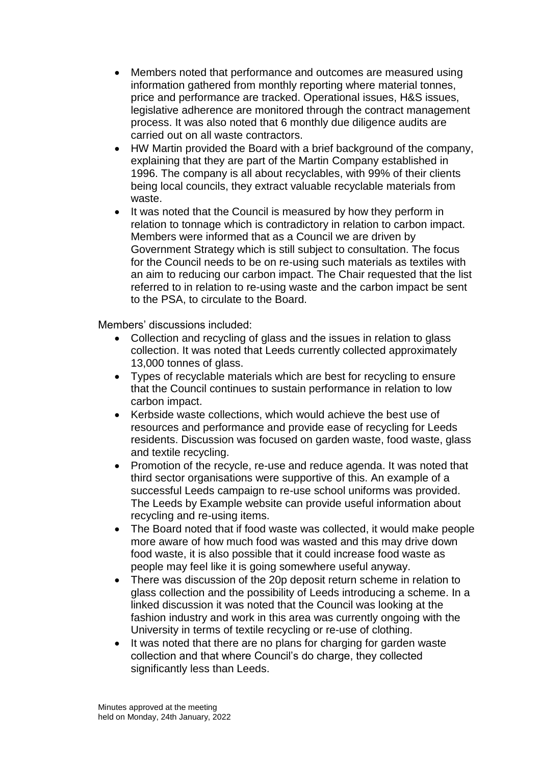- Members noted that performance and outcomes are measured using information gathered from monthly reporting where material tonnes, price and performance are tracked. Operational issues, H&S issues, legislative adherence are monitored through the contract management process. It was also noted that 6 monthly due diligence audits are carried out on all waste contractors.
- HW Martin provided the Board with a brief background of the company, explaining that they are part of the Martin Company established in 1996. The company is all about recyclables, with 99% of their clients being local councils, they extract valuable recyclable materials from waste.
- It was noted that the Council is measured by how they perform in relation to tonnage which is contradictory in relation to carbon impact. Members were informed that as a Council we are driven by Government Strategy which is still subject to consultation. The focus for the Council needs to be on re-using such materials as textiles with an aim to reducing our carbon impact. The Chair requested that the list referred to in relation to re-using waste and the carbon impact be sent to the PSA, to circulate to the Board.

Members' discussions included:

- Collection and recycling of glass and the issues in relation to glass collection. It was noted that Leeds currently collected approximately 13,000 tonnes of glass.
- Types of recyclable materials which are best for recycling to ensure that the Council continues to sustain performance in relation to low carbon impact.
- Kerbside waste collections, which would achieve the best use of resources and performance and provide ease of recycling for Leeds residents. Discussion was focused on garden waste, food waste, glass and textile recycling.
- Promotion of the recycle, re-use and reduce agenda. It was noted that third sector organisations were supportive of this. An example of a successful Leeds campaign to re-use school uniforms was provided. The Leeds by Example website can provide useful information about recycling and re-using items.
- The Board noted that if food waste was collected, it would make people more aware of how much food was wasted and this may drive down food waste, it is also possible that it could increase food waste as people may feel like it is going somewhere useful anyway.
- There was discussion of the 20p deposit return scheme in relation to glass collection and the possibility of Leeds introducing a scheme. In a linked discussion it was noted that the Council was looking at the fashion industry and work in this area was currently ongoing with the University in terms of textile recycling or re-use of clothing.
- It was noted that there are no plans for charging for garden waste collection and that where Council's do charge, they collected significantly less than Leeds.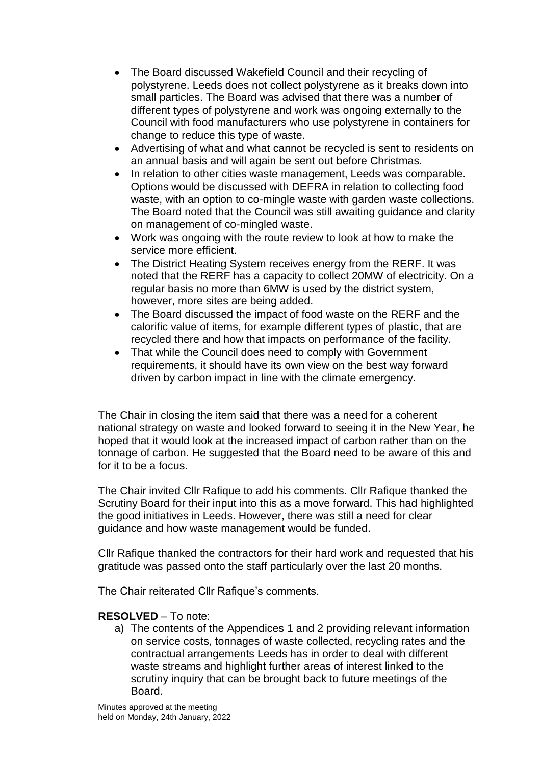- The Board discussed Wakefield Council and their recycling of polystyrene. Leeds does not collect polystyrene as it breaks down into small particles. The Board was advised that there was a number of different types of polystyrene and work was ongoing externally to the Council with food manufacturers who use polystyrene in containers for change to reduce this type of waste.
- Advertising of what and what cannot be recycled is sent to residents on an annual basis and will again be sent out before Christmas.
- In relation to other cities waste management, Leeds was comparable. Options would be discussed with DEFRA in relation to collecting food waste, with an option to co-mingle waste with garden waste collections. The Board noted that the Council was still awaiting guidance and clarity on management of co-mingled waste.
- Work was ongoing with the route review to look at how to make the service more efficient.
- The District Heating System receives energy from the RERF. It was noted that the RERF has a capacity to collect 20MW of electricity. On a regular basis no more than 6MW is used by the district system, however, more sites are being added.
- The Board discussed the impact of food waste on the RERF and the calorific value of items, for example different types of plastic, that are recycled there and how that impacts on performance of the facility.
- That while the Council does need to comply with Government requirements, it should have its own view on the best way forward driven by carbon impact in line with the climate emergency.

The Chair in closing the item said that there was a need for a coherent national strategy on waste and looked forward to seeing it in the New Year, he hoped that it would look at the increased impact of carbon rather than on the tonnage of carbon. He suggested that the Board need to be aware of this and for it to be a focus.

The Chair invited Cllr Rafique to add his comments. Cllr Rafique thanked the Scrutiny Board for their input into this as a move forward. This had highlighted the good initiatives in Leeds. However, there was still a need for clear guidance and how waste management would be funded.

Cllr Rafique thanked the contractors for their hard work and requested that his gratitude was passed onto the staff particularly over the last 20 months.

The Chair reiterated Cllr Rafique's comments.

# **RESOLVED** – To note:

a) The contents of the Appendices 1 and 2 providing relevant information on service costs, tonnages of waste collected, recycling rates and the contractual arrangements Leeds has in order to deal with different waste streams and highlight further areas of interest linked to the scrutiny inquiry that can be brought back to future meetings of the Board.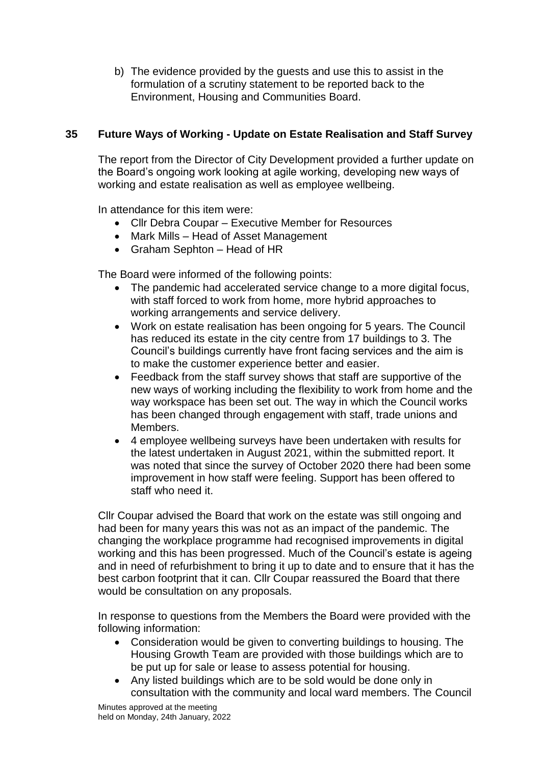b) The evidence provided by the guests and use this to assist in the formulation of a scrutiny statement to be reported back to the Environment, Housing and Communities Board.

# **35 Future Ways of Working - Update on Estate Realisation and Staff Survey**

The report from the Director of City Development provided a further update on the Board's ongoing work looking at agile working, developing new ways of working and estate realisation as well as employee wellbeing.

In attendance for this item were:

- Cllr Debra Coupar Executive Member for Resources
- Mark Mills Head of Asset Management
- Graham Sephton Head of HR

The Board were informed of the following points:

- The pandemic had accelerated service change to a more digital focus, with staff forced to work from home, more hybrid approaches to working arrangements and service delivery.
- Work on estate realisation has been ongoing for 5 years. The Council has reduced its estate in the city centre from 17 buildings to 3. The Council's buildings currently have front facing services and the aim is to make the customer experience better and easier.
- Feedback from the staff survey shows that staff are supportive of the new ways of working including the flexibility to work from home and the way workspace has been set out. The way in which the Council works has been changed through engagement with staff, trade unions and Members.
- 4 employee wellbeing surveys have been undertaken with results for the latest undertaken in August 2021, within the submitted report. It was noted that since the survey of October 2020 there had been some improvement in how staff were feeling. Support has been offered to staff who need it.

Cllr Coupar advised the Board that work on the estate was still ongoing and had been for many years this was not as an impact of the pandemic. The changing the workplace programme had recognised improvements in digital working and this has been progressed. Much of the Council's estate is ageing and in need of refurbishment to bring it up to date and to ensure that it has the best carbon footprint that it can. Cllr Coupar reassured the Board that there would be consultation on any proposals.

In response to questions from the Members the Board were provided with the following information:

- Consideration would be given to converting buildings to housing. The Housing Growth Team are provided with those buildings which are to be put up for sale or lease to assess potential for housing.
- Any listed buildings which are to be sold would be done only in consultation with the community and local ward members. The Council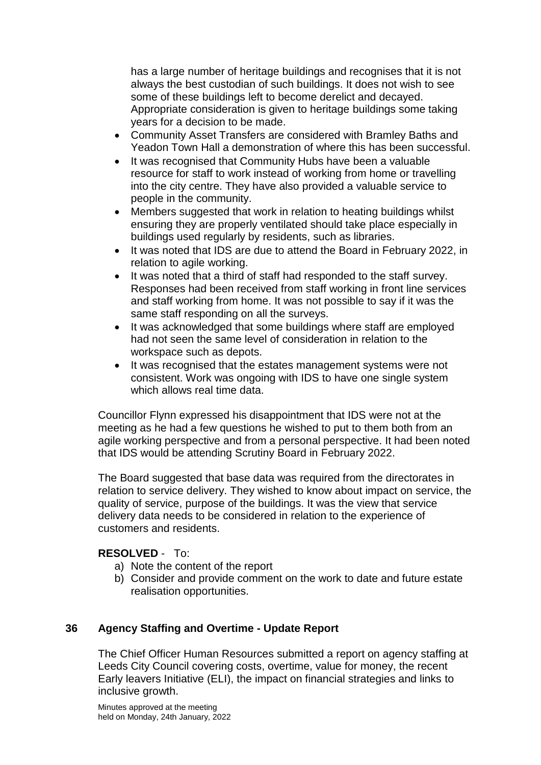has a large number of heritage buildings and recognises that it is not always the best custodian of such buildings. It does not wish to see some of these buildings left to become derelict and decayed. Appropriate consideration is given to heritage buildings some taking years for a decision to be made.

- Community Asset Transfers are considered with Bramley Baths and Yeadon Town Hall a demonstration of where this has been successful.
- It was recognised that Community Hubs have been a valuable resource for staff to work instead of working from home or travelling into the city centre. They have also provided a valuable service to people in the community.
- Members suggested that work in relation to heating buildings whilst ensuring they are properly ventilated should take place especially in buildings used regularly by residents, such as libraries.
- It was noted that IDS are due to attend the Board in February 2022, in relation to agile working.
- It was noted that a third of staff had responded to the staff survey. Responses had been received from staff working in front line services and staff working from home. It was not possible to say if it was the same staff responding on all the surveys.
- It was acknowledged that some buildings where staff are employed had not seen the same level of consideration in relation to the workspace such as depots.
- It was recognised that the estates management systems were not consistent. Work was ongoing with IDS to have one single system which allows real time data.

Councillor Flynn expressed his disappointment that IDS were not at the meeting as he had a few questions he wished to put to them both from an agile working perspective and from a personal perspective. It had been noted that IDS would be attending Scrutiny Board in February 2022.

The Board suggested that base data was required from the directorates in relation to service delivery. They wished to know about impact on service, the quality of service, purpose of the buildings. It was the view that service delivery data needs to be considered in relation to the experience of customers and residents.

# **RESOLVED** - To:

- a) Note the content of the report
- b) Consider and provide comment on the work to date and future estate realisation opportunities.

# **36 Agency Staffing and Overtime - Update Report**

The Chief Officer Human Resources submitted a report on agency staffing at Leeds City Council covering costs, overtime, value for money, the recent Early leavers Initiative (ELI), the impact on financial strategies and links to inclusive growth.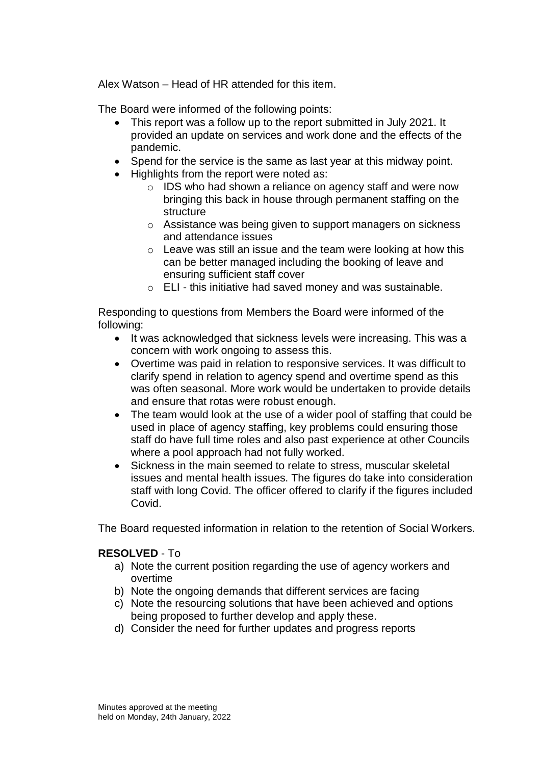Alex Watson – Head of HR attended for this item.

The Board were informed of the following points:

- This report was a follow up to the report submitted in July 2021. It provided an update on services and work done and the effects of the pandemic.
- Spend for the service is the same as last year at this midway point.
- Highlights from the report were noted as:
	- o IDS who had shown a reliance on agency staff and were now bringing this back in house through permanent staffing on the structure
	- o Assistance was being given to support managers on sickness and attendance issues
	- $\circ$  Leave was still an issue and the team were looking at how this can be better managed including the booking of leave and ensuring sufficient staff cover
	- o ELI this initiative had saved money and was sustainable.

Responding to questions from Members the Board were informed of the following:

- It was acknowledged that sickness levels were increasing. This was a concern with work ongoing to assess this.
- Overtime was paid in relation to responsive services. It was difficult to clarify spend in relation to agency spend and overtime spend as this was often seasonal. More work would be undertaken to provide details and ensure that rotas were robust enough.
- The team would look at the use of a wider pool of staffing that could be used in place of agency staffing, key problems could ensuring those staff do have full time roles and also past experience at other Councils where a pool approach had not fully worked.
- Sickness in the main seemed to relate to stress, muscular skeletal issues and mental health issues. The figures do take into consideration staff with long Covid. The officer offered to clarify if the figures included Covid.

The Board requested information in relation to the retention of Social Workers.

### **RESOLVED** - To

- a) Note the current position regarding the use of agency workers and overtime
- b) Note the ongoing demands that different services are facing
- c) Note the resourcing solutions that have been achieved and options being proposed to further develop and apply these.
- d) Consider the need for further updates and progress reports